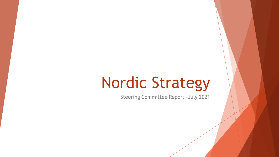# Nordic Strategy

Steering Committee Report –July 2021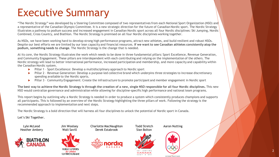### Executive Summary

"The Nordic Strategy" was developed by a Steering Committee composed of two representatives from each National Sport Organization (NSO) and a representative of the Canadian Olympic Committee. It is a new strategic direction for the future of Canadian Nordic sport. The Nordic Strategy illustrates a pathway to podium success and increased engagement in Canadian Nordic sport across all four Nordic disciplines: Ski Jumping, Nordic Combined, Cross Country, and Biathlon. The Nordic Strategy is premised on all four Nordic disciplines working together.

As NSOs, we have been working hard to develop strong high performance programs, attract new athletes, and build resilient and robust NSOs. Despite our best efforts we are limited by our lean capacity and financial resources. **If we want to see Canadian athletes consistently atop the podium, something needs to change.** The Nordic Strategy is the change that is needed.

At its core, the Nordic Strategy illustrates the work which needs to be done in three fundamental pillars: Sport Excellence, Revenue Generation, and Community Engagement. These pillars are interdependent with each contributing and relying on the implementation of the others. The Nordic strategy will lead to better international performance, increased participation and membership, and more capacity and capability within the Canadian Nordic system.

- Pillar 1 Sport Excellence: Develop a multidisciplinary approach to Nordic sport
- Pillar 2 Revenue Generation: Develop a purpose-led collective brand which underpins three strategies to increase discretionary spending available to the Nordic sports.
- Pillar 3 Community Engagement: Create the infrastructure to promote participant and member engagement in Nordic sport

**The best way to achieve the Nordic Strategy is through the creation of a new, single NSO responsible for all four Nordic disciplines.** This new NSO would centralize governance and administration while allowing for discipline-specific high performance and national team programs.

This report begins by outlining why a Nordic Strategy is needed in order to produce a system which consistently produces champions and supports all participants. This is followed by an overview of the Nordic Strategy highlighting the three pillars of work. Following the strategy is the recommended approach to implementation and next steps.

The Nordic Strategy is a bold direction that will harness all four disciplines to unlock the potential of Nordic sport in Canada.

**Let's Ski Together.**

Lyle McLeod Heather Ambery





OMBINE NORDIQUI

Charlotte MacNaughton Derek Estabrook

Todd Stretch Sian Bolton





**SPORT PARTNI** 

Aaron Nutting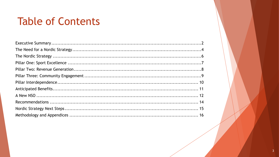### **Table of Contents**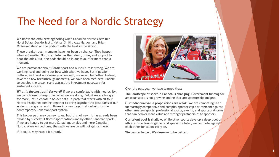### The Need for a Nordic Strategy

**We know the exhilarating feeling** when Canadian Nordic skiers like Horst Bulau, Beckie Scott, Nathan Smith, Alex Harvey, and Brian McKeever stood on the podium with the best in the World.

These breakthrough moments have not been by chance. They happen when a Canadian Nordic athlete has the talent, drive, and support to beat the odds. But, the odds should be in our favour for more than a moment.

We are passionate about Nordic sport and our culture is strong. We are working hard and doing our best with what we have. But if passion, culture, and hard work were good enough, we would be better. Instead, save for a few breakthrough moments, we have been mediocre, unable to develop the systems and attract the investment necessary for sustained success.

*What is the best path forward?* If we are comfortable with mediocrity, we can choose to keep doing what we are doing. But, if we are hungry for more, let us choose a bolder path - a path that starts with all four Nordic disciplines coming together to bring together the best parts of our systems, programs, and cultures in a new organization built for the contemporary Canadian sport system.

This bolder path may be new to us, but it is not new; it has already been chosen by successful Nordic sport nations and by other Canadian sports. If we are hungry to get more Canadians on skis and more Canadian Nordic skiers on podiums, the path we are on will not get us there.

If it could, why hasn't it already?



Over the past year we have learned that:

**The landscape of sport in Canada is changing**. Government funding for amateur sport is not growing and neither are sponsorship budgets.

**Our individual value propositions are weak.** We are competing in an increasingly competitive and complex sponsorship environment against other amateur sports, professional sports, events, and sports platforms that can deliver more value and stronger partnerships to sponsors.

**Our talent pool is shallow.** While other sports develop a deep pool of athletes who train together and specialize later, we compete against each other for talent early on.

**We can do better. We deserve to be better**.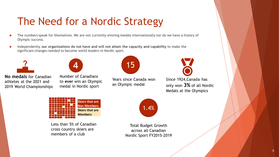## The Need for a Nordic Strategy

- The numbers speak for themselves. We are not currently winning medals internationally nor do we have a history of Olympic success.
- Independently, **our organizations do not have and will not attain the capacity and capability** to make the significant changes needed to become world leaders in Nordic sport.





**No medals** for Canadian athletes at the 2021 and 2019 World Championships

Number of Canadians to **ever** win an Olympic medal in Nordic sport



Years since Canada won an Olympic medal



Since 1924,Canada has only won **3%** of all Nordic Medals at the Olympics



Less than 5% of Canadian cross country skiers are members of a club



Total Budget Growth across all Canadian Nordic Sport FY2015-2019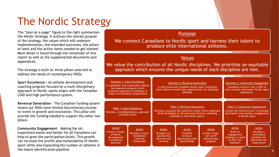## The Nordic Strategy

The "plan on a page" figure to the right summarizes the Nordic Strategy. It outlines the overall purpose of the strategy, the values which will underpin implementation, the intended outcomes, the pillars of work and the action items needed to get started. More detail is found through the remainder of this report as well as the supplemental documents and appendices.

The strategy is built on three pillars selected to address the needs of contemporary NSOs:

**Sport Excellence -** An athlete development and coaching program focused on a multi-disciplinary approach to Nordic sports aligns with the Canadian LTAD and high performance system.

**Revenue Generation** – The Canadian funding system means our NSOs have limited discretionary income to invest in growth and innovation. This pillar will provide the funding needed to support the other two pillars.

**Community Engagement** – Making the ski experience easier and better for all Canadians can help to grow the participation levels. This growth can increase the profile and marketability of Nordic sport while also expanding the number of athletes in the talent identification pipeline. <sup>6</sup>

### Purpose

We connect Canadians to Nordic sport and harness their talent to produce elite international athletes.

### Values

We value the contribution of all Nordic disciplines. We prioritize an equitable approach which ensures the unique needs of each discipline are met.

| Outcome 1: Sport Excellence<br>A repeatable and sustainable athlete<br>development program which | produces long-term excellence in<br>major international competitions | <b>Outcome 2: Revenue Generation</b><br>A well-resourced Canadian Nordic sport ecosystem<br>which delivers world-class opportunities for Canadian<br>athletes                    |                                                                             | Outcome 3: Community Engagement<br>Canadians connect with a NSO to<br>have a better and easier Nordic sport<br>experience. |                                                                                                                                |                                                                                   |
|--------------------------------------------------------------------------------------------------|----------------------------------------------------------------------|----------------------------------------------------------------------------------------------------------------------------------------------------------------------------------|-----------------------------------------------------------------------------|----------------------------------------------------------------------------------------------------------------------------|--------------------------------------------------------------------------------------------------------------------------------|-----------------------------------------------------------------------------------|
| Pillar 1: Sport Excellence<br>Develop a multidisciplinary approach<br>to Nordic sport            |                                                                      | Pillar 2: Revenue Generation<br>Develop a purpose-led collective brand which underpins<br>three strategies to increase discretionary spending<br>available to the Nordic sports. |                                                                             |                                                                                                                            | Pillar 3: Community Engagement<br>Create the infrastructure to promote<br>participant and member engagement<br>in Nordic sport |                                                                                   |
| Action<br>Create a whole-<br>of-Nordic<br>development<br>and podium<br>pathway                   | Action<br>Develop a multi-<br>disciplinary<br>coaching<br>framework  | Action<br>Broaden our<br>sponsorship<br>network and<br>revenue                                                                                                                   | Action<br><b>Establish</b><br>revenue-<br>generating retail<br>partnerships | Action<br>Create a high-<br>net worth<br>philanthropy<br>program                                                           | Action<br>Build an<br>engagement<br>strategy to reach<br>current non-<br>members                                               | Action<br>Develop a<br>centralized<br>database for<br>improved user<br>experience |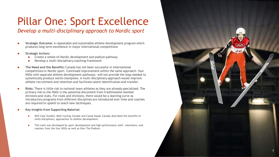# Pillar One: Sport Excellence

### *Develop a multi -disciplinary approach to Nordic sport*

- **Strategic Outcome:** A repeatable and sustainable athlete development program which produces long -term excellence in major international competitions
- **Strategic Actions**
	- ▶ Create a whole-of-Nordic development and podium pathway
	- ▶ Develop a multi-disciplinary coaching framework
- **The Need and the Benefits:** Canada has not been successful in international competitions in Nordic sport. Continued improvement within the same approach —four NSOs with separate athlete development pathways —will not provide the leap needed to systemically produce world champions. A multi -disciplinary approach would improve athlete recruitment and retention and facilitate talent identification and transfer.
- **Risks:** There is little risk to national team athletes as they are already specialized. The primary risk to the NSOs is the potential discontent from traditionalist member divisions and clubs. For clubs and divisions, there would be a learning curve as introductory programs from different disciplines are introduced over time and coaches are required to upskill to teach new techniques.
- **Key Insights from Supporting Material:** 
	- ▶ NSO Case Studies: Both Cycling Canada and Canoe Kayak Canada described the benefits of multi -disciplinary approaches to athlete development.
	- This work was developed by sport development and high performance staff, volunteers, and coaches from the four NSOs as well as Own The Podium.

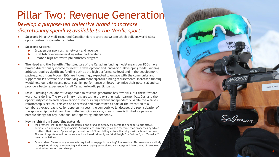### Pillar Two: Revenue Generation

### *Develop a purpose -led collective brand to increase discretionary spending available to the Nordic sports.*

- ▶ Strategic Pillar: A well-resourced Canadian Nordic sport ecosystem which delivers world-class opportunities for Canadian athletes
- **Strategic Actions:** 
	- Broaden our sponsorship network and revenue
	- Establish revenue-generating retail partnerships
	- ▶ Create a high-net worth philanthropy program
- **The Need and the Benefits:** The structure of the Canadian funding model means our NSOs have limited discretionary income to invest in development and innovation. Developing medal -winning athletes requires significant funding both at the high performance level and in the development pathway. Additionally, our NSOs are increasingly expected to engage with the community and support our PSOs while also complying with more rigorous funding requirements. Increased funding would help our existing and potential high performance athletes maximize their potential and can provide a better experience for all Canadian Nordic participants.
- **Risks:** Pursuing a collaborative approach to revenue generation has few risks, but these few are worth considering. The two primary risks are losing the existing major partner (AltaGas) and the opportunity cost to each organization of not pursuing revenue independently. While the AltaGas relationship is critical, this can be addressed and maintained as part of the transition to a collaborative approach. As for opportunity cost, the competitive landscape, the sophistication of the sponsorship market, and the limited existing success, means there is limited scope for a notable change for any individual NSO operating independently.

#### **Key Insights from Supporting Material:**

- the greater: Final report from sponsorship and branding agency highlights the need for a distinctive, purpose -led approach to sponsorship. Sponsors are increasingly looking for more than properties by which to attach their brand. Sponsorship is about both ROI and telling a story that aligns with a brand purpose. The Nordic sports would not be competitive based primarily on "ski -lifestyle", a "winter", or "Canadian" brand associations
- Case studies: Discretionary revenue is required to engage in meaningful innovation. This revenue is unlikely to be gained through a rebranding and accompanying storytelling. A strategy and investment of resources required for longer term change.

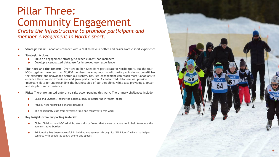# Pillar Three: Community Engagement

*Create the infrastructure to promote participant and member engagement in Nordic sport.*

- **Strategic Pillar:** Canadians connect with a NSO to have a better and easier Nordic sport experience.
- **Strategic Actions:**
	- Build an engagement strategy to reach current non-members
	- Develop a centralized database for improved user experience
- **The Need and the Benefits:** Over two million Canadians participate in Nordic sport, but the four NSOs together have less than 90,000 members meaning most Nordic participants do not benefit from the expertise and knowledge within our system. NSO -led engagement can reach more Canadians to enhance their Nordic experience and grow participation. A centralized database will provide important data for understanding the business side of our disciplines while also providing a better and simpler user experience.
- **Risks:** There are limited enterprise risks accompanying this work. The primary challenges include:
	- Clubs and Divisions feeling the national body is interfering in "their" space
	- **Privacy risks regarding a shared database**
	- $\blacktriangleright$  The opportunity cost from investing time and money into this work
- **Key Insights from Supporting Material:** 
	- Clubs, Divisions, and NSO administrators all confirmed that a new database could help to reduce the administrative burden
	- Ski Jumping has been successful in building engagement through its "Mini Jump" which has helped connect with people at public events and spaces.

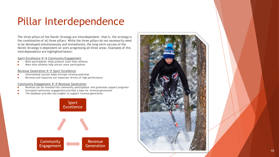### Pillar Interdependence

The three pillars of the Nordic Strategy are interdependent —that is, the strategy is the combination of all three pillars. While the three pillars do not necessarily need to be developed simultaneously and immediately, the long -term success of the Nordic Strategy is dependent on work progressing all three areas. Examples of this interdependence are highlighted below:

#### Sport Excellence  $\leftrightarrow$  Community Engagement

- More participation helps produce more elite athletes
- More elite athletes help attract more participation

#### Revenue Generation  $\leftrightarrow$  Sport Excellence

- International success helps increase revenue potential
- Revenue and resources are important drivers of high performance

#### Community Engagement  $\leftarrow$  > Revenue Generation

- Revenue can be invested into community participation and grassroots support programs
- Increased community engagement provides a base for revenue generation
- The database provides key insights to support revenue generation



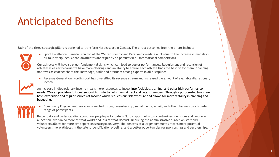### Anticipated Benefits

Each of the three strategic pillars is designed to transform Nordic sport in Canada. The direct outcomes from the pillars include:



 Sport Excellence: Canada is on top of the Winter Olympic and Paralympic Medal Counts due to the increase in medals in all four disciplines. Canadian athletes are regularly on podiums in all international competitions

Our athletes will have stronger fundamental skills which can lead to better performances. Recruitment and retention of athletes is easier because we have more offerings and an ability to ensure each athlete finds the best fit for them. Coaching improves as coaches share the knowledge, skills and attitudes among experts in all disciplines.

 Revenue Generation: Nordic sport has diversified its revenue stream and increased the amount of available discretionary income.



- An increase in discretionary income means more resources to invest into facilities, training, and other high performance needs. We can provide additional support to clubs to help them attract and retain members. Through a purpose-led brand we have diversified and regular sources of income which reduces our risk exposure and allows for more stability in planning and budgeting.
- Community Engagement: We are connected through membership, social media, email, and other channels to a broader range of participants.

Better data and understanding about how people participate in Nordic sport helps to drive business decisions and resource allocation—we can do more of what works and less of what doesn't. Reducing the administrative burden on staff and volunteers allows for more time spent on strategic delivery. The benefits of a larger community means more potential volunteers, more athletes in the talent identification pipeline, and a better opportunities for sponsorships and partnerships.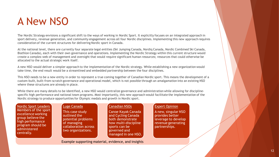### A New NSO

The Nordic Strategy envisions a significant shift to the ways of working in Nordic Sport. It explicitly focuses on an integrated approach in sport delivery, revenue generation, and community engagement across all four Nordic disciplines. Implementing this new approach requires consideration of the current structures for delivering Nordic sport in Canada.

At the national level, there are currently four separate legal entities (Ski Jumping Canada, Nordiq Canada, Nordic Combined Ski Canada, Biathlon Canada), each with their own governance and operations. Implementing the Nordic Strategy within this current structure would create a complex web of management and oversight that would require significant human resources; resources that could otherwise be allocated to the actual strategic work itself.

A new NSO would deliver a simpler approach to the implementation of the Nordic strategy. While establishing a new organization would take time, the end result would be a streamlined and embedded partnership between the four disciplines.

This NSO needs to be a new entity in order to represent a true coming together of Canadian Nordic sport. This means the development of a custom-built, built-from-scratch governance and operational model, which is not possible through an amalgamation into an existing NSO where these structures are already in place.

While there are many details to be identified, a new NSO would centralize governance and administration while allowing for disciplinespecific high performance and national team programs. Most importantly, this new approach would facilitate the implementation of the Nordic strategy to produce opportunities for Olympic medals and growth in Nordic sport.

Nordic Sport Leaders Members of the sport excellence working group believe the high performance program should be administered centrally.

#### Luge Canada

This case study outlined the potential problems of managing collaboration across two organizations.

#### Canadian NSOs

Canoe Kayak Canada and Cycling Canada both demonstrate how multi-discipline sports can be governed and managed in one NSO.

#### Expert Opinion

A new, singular NSO provides better leverage to develop revenue generating partnerships.

Example supporting material, evidence, and insights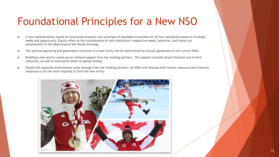### Foundational Principles for a New NSO

- A new national entity would be structured around a core principle of equitable treatment for all four disciplines based on strategic needs and opportunity. Equity refers to the consideration of each discipline's respective needs, potential, and impact on achievement of the objectives of the Nordic Strategy.
- The optimal operating and governance structure of a new entity will be determined by mutual agreement of the current NSOs.
- Building a new entity cannot occur without support from key funding partners. This support includes direct financial and in-kind resources, as well as assurances about on-going funding.
- Should the required commitments come through from the funding partners, all NSOs will allocate both human resources and financial resources to do the work required to form the new entity.

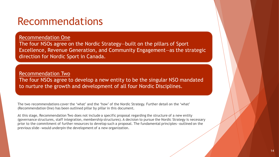### Recommendations

### Recommendation One

The four NSOs agree on the Nordic Strategy—built on the pillars of Sport Excellence, Revenue Generation, and Community Engagement—as the strategic direction for Nordic Sport in Canada.

Recommendation Two The four NSOs agree to develop a new entity to be the singular NSO mandated to nurture the growth and development of all four Nordic Disciplines.

The two recommendations cover the 'what' and the 'how' of the Nordic Strategy. Further detail on the 'what' (Recommendation One) has been outlined pillar by pillar in this document.

At this stage, Recommendation Two does not include a specific proposal regarding the structure of a new entity (governance structures, staff integration, membership structures). A decision to pursue the Nordic Strategy is necessary prior to the commitment of further resources to develop such a proposal. The fundamental principles—outlined on the previous slide—would underpin the development of a new organization.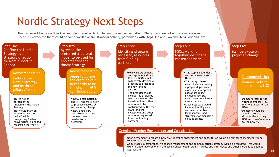### Nordic Strategy Next Steps

The framework below outlines the next steps required to implement the recommendations. These steps are not entirely separate and linear. It is expected there could be some overlap or simultaneous activity, particularly with Steps One and Two and Steps Four and Five.



#### Ongoing: Member Engagement and Consultation

•Upon agreement to create a new NSO, member engagement and consultation would be critical as members will be required to vote on the change.

•At all stages, a comprehensive change management and communications strategy would be required. This would likely include involvement in the design phase, open forums, surveys and interviews, and other methods as deemed appropriate

15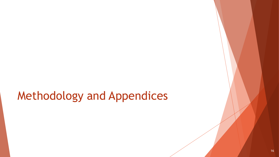# Methodology and Appendices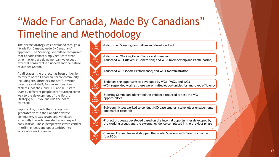# "Made For Canada, Made By Canadians" Timeline and Methodology

**June** 2020

**July** 

**Oct** 2020

Dec

**Early** 2021

**Apr** 2021

Ma<sub>y</sub>  $202<sup>1</sup>$ 

The Nordic Strategy was developed through a "Made For Canada, Made By Canadians" approach. The Steering Committee recognized that Canada cannot simply replicate what other nations are doing nor can we expect external consultants to understand the nature of our ecosystem.

At all stages, the project has been driven by members of the Canadian Nordic community including NSO directors and staff, division directors and staff, former national team athletes, coaches, and COC and OTP staff. Over 60 different people contributed in some way to the development of the Nordic Strategy; 80+ if you include the board workshop.

Importantly, though the strategy was generated within the Canadian Nordic community, it was tested and validated externally through case studies and expert consultation. These perspectives were critical in refining ideas and opportunities into actionable work streams.

•Established Steering Committee and developed MoU

2020 •Established Working Group Topics and members •Launched WG1 (Revenue Generation) and WG3 (Membership and Participation)

•Launched WG2 (Sport Performance) and WG4 (Administration)

•Endorsed the opportunities developed by WG1, WG2, and WG3

**Nov** 2020 •WG4 suspended work as there were limited opportunities for improved efficiency

2020 •Steering Committee identified the evidence required to test the WG opportunities

•Sub -committees worked to conduct NSO case studies, stakeholder engagement, and market research

•Project proposals developed based on the internal opportunities developed by the working groups and the external evidence completed in the previous phase

•Steering Committee workshopped the Nordic Strategy with Directors from all four NSO<sub>S</sub>